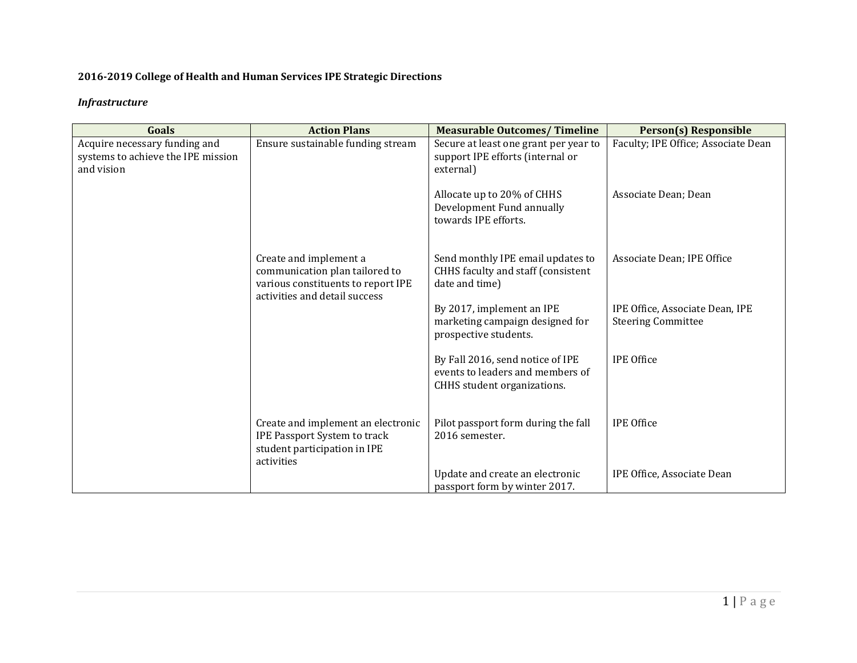# **2016-2019 College of Health and Human Services IPE Strategic Directions**

# *Infrastructure*

| Goals                                                                             | <b>Action Plans</b>                                                                                                             | <b>Measurable Outcomes/Timeline</b>                                                                 | <b>Person(s) Responsible</b>                                 |
|-----------------------------------------------------------------------------------|---------------------------------------------------------------------------------------------------------------------------------|-----------------------------------------------------------------------------------------------------|--------------------------------------------------------------|
| Acquire necessary funding and<br>systems to achieve the IPE mission<br>and vision | Ensure sustainable funding stream                                                                                               | Secure at least one grant per year to<br>support IPE efforts (internal or<br>external)              | Faculty; IPE Office; Associate Dean                          |
|                                                                                   |                                                                                                                                 | Allocate up to 20% of CHHS<br>Development Fund annually<br>towards IPE efforts.                     | Associate Dean; Dean                                         |
|                                                                                   | Create and implement a<br>communication plan tailored to<br>various constituents to report IPE<br>activities and detail success | Send monthly IPE email updates to<br>CHHS faculty and staff (consistent<br>date and time)           | Associate Dean; IPE Office                                   |
|                                                                                   |                                                                                                                                 | By 2017, implement an IPE<br>marketing campaign designed for<br>prospective students.               | IPE Office, Associate Dean, IPE<br><b>Steering Committee</b> |
|                                                                                   |                                                                                                                                 | By Fall 2016, send notice of IPE<br>events to leaders and members of<br>CHHS student organizations. | <b>IPE Office</b>                                            |
|                                                                                   | Create and implement an electronic<br>IPE Passport System to track<br>student participation in IPE<br>activities                | Pilot passport form during the fall<br>2016 semester.                                               | <b>IPE Office</b>                                            |
|                                                                                   |                                                                                                                                 | Update and create an electronic<br>passport form by winter 2017.                                    | IPE Office, Associate Dean                                   |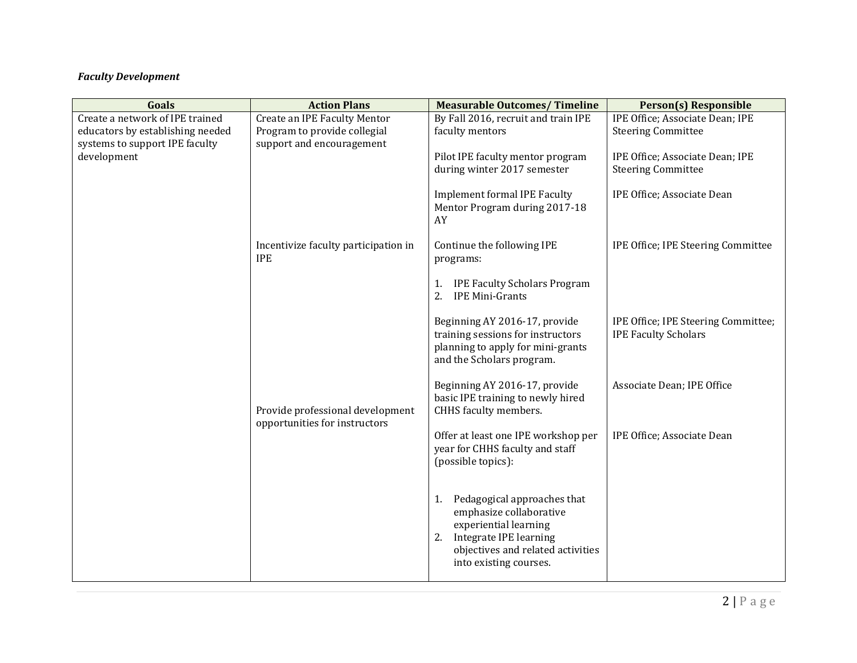# *Faculty Development*

| Goals                                         | <b>Action Plans</b>                                               | <b>Measurable Outcomes/Timeline</b>                                                                                                                                                  | <b>Person(s) Responsible</b>                                       |
|-----------------------------------------------|-------------------------------------------------------------------|--------------------------------------------------------------------------------------------------------------------------------------------------------------------------------------|--------------------------------------------------------------------|
| Create a network of IPE trained               | Create an IPE Faculty Mentor                                      | By Fall 2016, recruit and train IPE                                                                                                                                                  | IPE Office; Associate Dean; IPE                                    |
| educators by establishing needed              | Program to provide collegial                                      | faculty mentors                                                                                                                                                                      | <b>Steering Committee</b>                                          |
| systems to support IPE faculty<br>development | support and encouragement                                         | Pilot IPE faculty mentor program<br>during winter 2017 semester                                                                                                                      | IPE Office; Associate Dean; IPE<br><b>Steering Committee</b>       |
|                                               |                                                                   | <b>Implement formal IPE Faculty</b><br>Mentor Program during 2017-18<br>AY                                                                                                           | IPE Office; Associate Dean                                         |
|                                               | Incentivize faculty participation in<br><b>IPE</b>                | Continue the following IPE<br>programs:                                                                                                                                              | IPE Office; IPE Steering Committee                                 |
|                                               |                                                                   | <b>IPE Faculty Scholars Program</b><br>1.<br><b>IPE Mini-Grants</b><br>2.                                                                                                            |                                                                    |
|                                               |                                                                   | Beginning AY 2016-17, provide<br>training sessions for instructors<br>planning to apply for mini-grants<br>and the Scholars program.                                                 | IPE Office; IPE Steering Committee;<br><b>IPE Faculty Scholars</b> |
|                                               | Provide professional development<br>opportunities for instructors | Beginning AY 2016-17, provide<br>basic IPE training to newly hired<br>CHHS faculty members.                                                                                          | Associate Dean; IPE Office                                         |
|                                               |                                                                   | Offer at least one IPE workshop per<br>year for CHHS faculty and staff<br>(possible topics):                                                                                         | IPE Office; Associate Dean                                         |
|                                               |                                                                   | Pedagogical approaches that<br>1.<br>emphasize collaborative<br>experiential learning<br>Integrate IPE learning<br>2.<br>objectives and related activities<br>into existing courses. |                                                                    |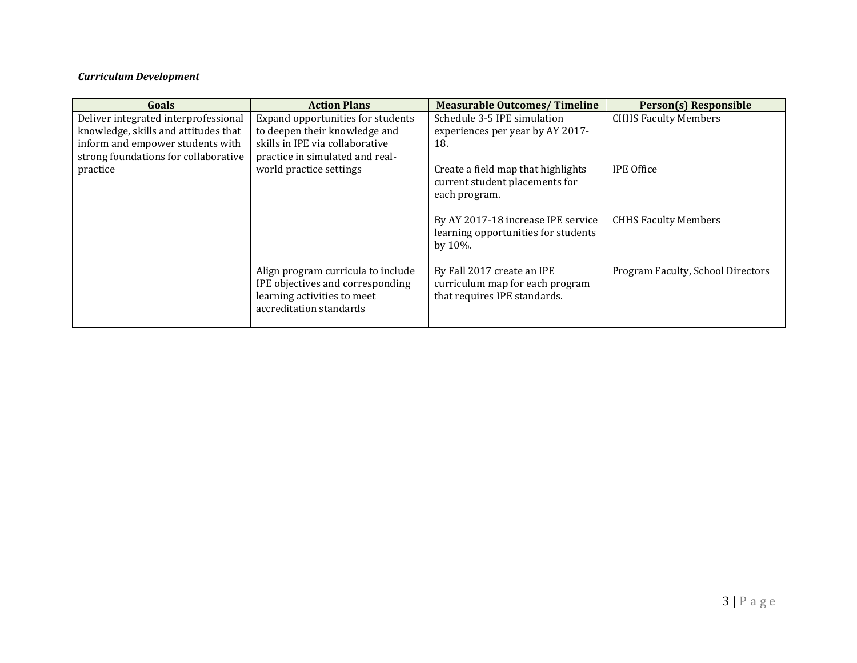# *Curriculum Development*

| Goals                                | <b>Action Plans</b>                | <b>Measurable Outcomes/Timeline</b> | Person(s) Responsible             |
|--------------------------------------|------------------------------------|-------------------------------------|-----------------------------------|
| Deliver integrated interprofessional | Expand opportunities for students  | Schedule 3-5 IPE simulation         | <b>CHHS Faculty Members</b>       |
| knowledge, skills and attitudes that | to deepen their knowledge and      | experiences per year by AY 2017-    |                                   |
| inform and empower students with     | skills in IPE via collaborative    | 18.                                 |                                   |
| strong foundations for collaborative | practice in simulated and real-    |                                     |                                   |
| practice                             | world practice settings            | Create a field map that highlights  | <b>IPE Office</b>                 |
|                                      |                                    | current student placements for      |                                   |
|                                      |                                    | each program.                       |                                   |
|                                      |                                    |                                     |                                   |
|                                      |                                    | By AY 2017-18 increase IPE service  | <b>CHHS Faculty Members</b>       |
|                                      |                                    | learning opportunities for students |                                   |
|                                      |                                    | by $10\%$ .                         |                                   |
|                                      |                                    |                                     |                                   |
|                                      | Align program curricula to include | By Fall 2017 create an IPE          | Program Faculty, School Directors |
|                                      | IPE objectives and corresponding   | curriculum map for each program     |                                   |
|                                      | learning activities to meet        | that requires IPE standards.        |                                   |
|                                      | accreditation standards            |                                     |                                   |
|                                      |                                    |                                     |                                   |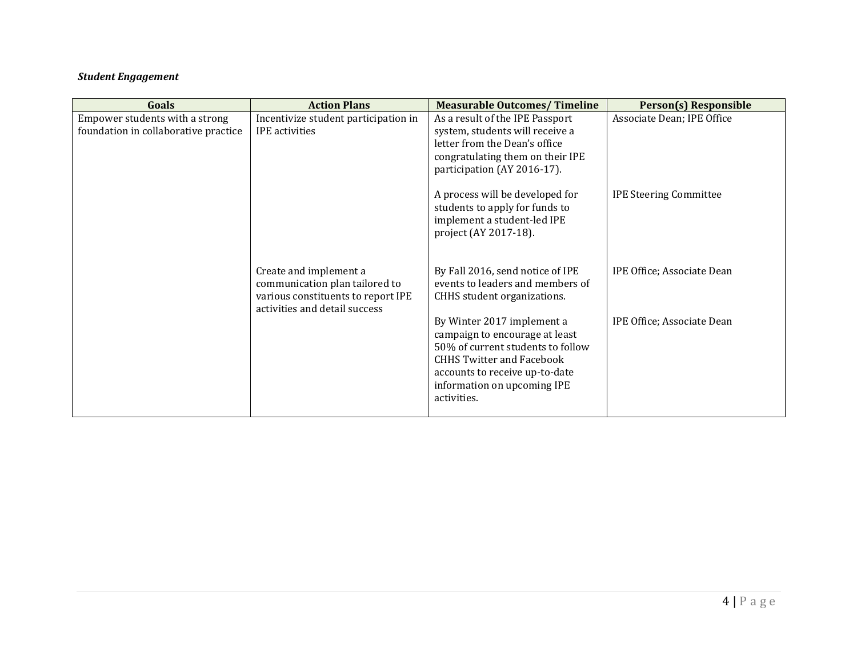# *Student Engagement*

| Goals                                                                  | <b>Action Plans</b>                                                                                                             | <b>Measurable Outcomes/Timeline</b>                                                                                                                                                                                   | <b>Person(s) Responsible</b>  |
|------------------------------------------------------------------------|---------------------------------------------------------------------------------------------------------------------------------|-----------------------------------------------------------------------------------------------------------------------------------------------------------------------------------------------------------------------|-------------------------------|
| Empower students with a strong<br>foundation in collaborative practice | Incentivize student participation in<br>IPE activities                                                                          | As a result of the IPE Passport<br>system, students will receive a<br>letter from the Dean's office<br>congratulating them on their IPE<br>participation (AY 2016-17).                                                | Associate Dean; IPE Office    |
|                                                                        |                                                                                                                                 | A process will be developed for<br>students to apply for funds to<br>implement a student-led IPE<br>project (AY 2017-18).                                                                                             | <b>IPE Steering Committee</b> |
|                                                                        | Create and implement a<br>communication plan tailored to<br>various constituents to report IPE<br>activities and detail success | By Fall 2016, send notice of IPE<br>events to leaders and members of<br>CHHS student organizations.                                                                                                                   | IPE Office; Associate Dean    |
|                                                                        |                                                                                                                                 | By Winter 2017 implement a<br>campaign to encourage at least<br>50% of current students to follow<br><b>CHHS Twitter and Facebook</b><br>accounts to receive up-to-date<br>information on upcoming IPE<br>activities. | IPE Office; Associate Dean    |